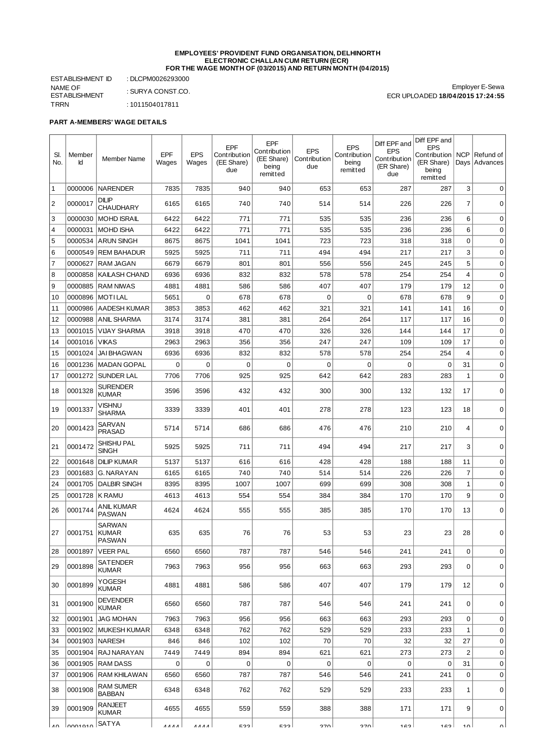## **EMPLOYEES' PROVIDENT FUND ORGANISATION, DELHINORTH ELECTRONIC CHALLAN CUM RETURN (ECR) FOR THE WAGE MONTH OF (03/2015) AND RETURN MONTH (04/2015)**

ESTABLISHMENT ID : DLCPM0026293000 NAME OF ESTABLISHMENT : SURYA CONST.CO. TRRN : 1011504017811

Employer E-Sewa ECR UPLOADED **18/04/2015 17:24:55**

## **PART A-MEMBERS' WAGE DETAILS**

| SI.<br>No.       | Member<br>Id | <b>Member Name</b>                | <b>EPF</b><br>Wages | <b>EPS</b><br>Wages | EPF<br>Contribution<br>(EE Share)<br>due | EPF<br>Contribution<br>(EE Share)<br>being<br>remitted | <b>EPS</b><br>Contribution<br>due | <b>EPS</b><br>Contribution<br>being<br>remitted | Diff EPF and<br><b>EPS</b><br>Contribution<br>(ER Share)<br>due | Diff EPF and<br><b>EPS</b><br>Contribution<br>(ER Share)<br>being<br>remitted | <b>NCP</b>     | Refund of<br>Days   Advances |
|------------------|--------------|-----------------------------------|---------------------|---------------------|------------------------------------------|--------------------------------------------------------|-----------------------------------|-------------------------------------------------|-----------------------------------------------------------------|-------------------------------------------------------------------------------|----------------|------------------------------|
| $\mathbf 1$      | 0000006      | <b>NARENDER</b>                   | 7835                | 7835                | 940                                      | 940                                                    | 653                               | 653                                             | 287                                                             | 287                                                                           | 3              | $\mathbf 0$                  |
| 2                | 0000017      | <b>DILIP</b><br><b>CHAUDHARY</b>  | 6165                | 6165                | 740                                      | 740                                                    | 514                               | 514                                             | 226                                                             | 226                                                                           | 7              | 0                            |
| 3                | 0000030      | <b>MOHD ISRAIL</b>                | 6422                | 6422                | 771                                      | 771                                                    | 535                               | 535                                             | 236                                                             | 236                                                                           | 6              | 0                            |
| $\overline{4}$   | 0000031      | <b>MOHD ISHA</b>                  | 6422                | 6422                | 771                                      | 771                                                    | 535                               | 535                                             | 236                                                             | 236                                                                           | 6              | 0                            |
| 5                | 0000534      | <b>ARUN SINGH</b>                 | 8675                | 8675                | 1041                                     | 1041                                                   | 723                               | 723                                             | 318                                                             | 318                                                                           | $\mathbf 0$    | 0                            |
| 6                | 0000549      | <b>REM BAHADUR</b>                | 5925                | 5925                | 711                                      | 711                                                    | 494                               | 494                                             | 217                                                             | 217                                                                           | 3              | $\mathbf 0$                  |
| $\overline{7}$   | 0000627      | RAM JAGAN                         | 6679                | 6679                | 801                                      | 801                                                    | 556                               | 556                                             | 245                                                             | 245                                                                           | 5              | 0                            |
| 8                | 0000858      | <b>KAILASH CHAND</b>              | 6936                | 6936                | 832                                      | 832                                                    | 578                               | 578                                             | 254                                                             | 254                                                                           | $\overline{4}$ | 0                            |
| 9                | 0000885      | <b>RAM NIWAS</b>                  | 4881                | 4881                | 586                                      | 586                                                    | 407                               | 407                                             | 179                                                             | 179                                                                           | 12             | 0                            |
| 10               | 0000896      | MOTILAL                           | 5651                | 0                   | 678                                      | 678                                                    | 0                                 | 0                                               | 678                                                             | 678                                                                           | 9              | 0                            |
| 11               | 0000986      | <b>AADESH KUMAR</b>               | 3853                | 3853                | 462                                      | 462                                                    | 321                               | 321                                             | 141                                                             | 141                                                                           | 16             | 0                            |
| 12               | 0000988      | <b>ANIL SHARMA</b>                | 3174                | 3174                | 381                                      | 381                                                    | 264                               | 264                                             | 117                                                             | 117                                                                           | 16             | $\mathbf 0$                  |
| 13               | 0001015      | <b>VIJAY SHARMA</b>               | 3918                | 3918                | 470                                      | 470                                                    | 326                               | 326                                             | 144                                                             | 144                                                                           | 17             | 0                            |
| 14               | 0001016      | <b>VIKAS</b>                      | 2963                | 2963                | 356                                      | 356                                                    | 247                               | 247                                             | 109                                                             | 109                                                                           | 17             | 0                            |
| 15               | 0001024      | <b>JAI BHAGWAN</b>                | 6936                | 6936                | 832                                      | 832                                                    | 578                               | 578                                             | 254                                                             | 254                                                                           | 4              | 0                            |
| 16               | 0001236      | <b>MADAN GOPAL</b>                | 0                   | $\mathbf 0$         | 0                                        | 0                                                      | $\mathbf 0$                       | 0                                               | $\mathbf 0$                                                     | 0                                                                             | 31             | 0                            |
| 17               | 0001272      | <b>SUNDER LAL</b>                 | 7706                | 7706                | 925                                      | 925                                                    | 642                               | 642                                             | 283                                                             | 283                                                                           | $\mathbf 1$    | 0                            |
| 18               | 0001328      | <b>SURENDER</b><br><b>KUMAR</b>   | 3596                | 3596                | 432                                      | 432                                                    | 300                               | 300                                             | 132                                                             | 132                                                                           | 17             | $\mathbf 0$                  |
| 19               | 0001337      | Vishnu<br><b>SHARMA</b>           | 3339                | 3339                | 401                                      | 401                                                    | 278                               | 278                                             | 123                                                             | 123                                                                           | 18             | $\mathbf 0$                  |
| 20               | 0001423      | SARVAN<br><b>PRASAD</b>           | 5714                | 5714                | 686                                      | 686                                                    | 476                               | 476                                             | 210                                                             | 210                                                                           | 4              | $\mathbf 0$                  |
| 21               | 0001472      | SHISHU PAL<br><b>SINGH</b>        | 5925                | 5925                | 711                                      | 711                                                    | 494                               | 494                                             | 217                                                             | 217                                                                           | 3              | 0                            |
| 22               | 0001648      | <b>DILIP KUMAR</b>                | 5137                | 5137                | 616                                      | 616                                                    | 428                               | 428                                             | 188                                                             | 188                                                                           | 11             | 0                            |
| 23               | 0001683      | G. NARAYAN                        | 6165                | 6165                | 740                                      | 740                                                    | 514                               | 514                                             | 226                                                             | 226                                                                           | $\overline{7}$ | 0                            |
| 24               | 0001705      | <b>DALBIR SINGH</b>               | 8395                | 8395                | 1007                                     | 1007                                                   | 699                               | 699                                             | 308                                                             | 308                                                                           | 1              | 0                            |
| 25               | 0001728      | <b>K RAMU</b>                     | 4613                | 4613                | 554                                      | 554                                                    | 384                               | 384                                             | 170                                                             | 170                                                                           | 9              | 0                            |
| 26               | 0001744      | ANIL KUMAR<br><b>PASWAN</b>       | 4624                | 4624                | 555                                      | 555                                                    | 385                               | 385                                             | 170                                                             | 170                                                                           | 13             | $\mathbf 0$                  |
| 27               | 0001751      | SARWAN<br><b>KUMAR</b><br>PASWAN  | 635                 | 635                 | 76                                       | 76                                                     | 53                                | 53                                              | 23                                                              | 23                                                                            | 28             | 0                            |
| 28               | 0001897      | <b>VEER PAL</b>                   | 6560                | 6560                | 787                                      | 787                                                    | 546                               | 546                                             | 241                                                             | 241                                                                           | 0              | 0                            |
| 29               | 0001898      | <b>SATENDER</b><br><b>KUMAR</b>   | 7963                | 7963                | 956                                      | 956                                                    | 663                               | 663                                             | 293                                                             | 293                                                                           | 0              | 0                            |
| 30               | 0001899      | YOGESH<br><b>KUMAR</b>            | 4881                | 4881                | 586                                      | 586                                                    | 407                               | 407                                             | 179                                                             | 179                                                                           | 12             | 0                            |
| 31               | 0001900      | <b>DEVENDER</b><br><b>KUMAR</b>   | 6560                | 6560                | 787                                      | 787                                                    | 546                               | 546                                             | 241                                                             | 241                                                                           | 0              | 0                            |
| 32               | 0001901      | <b>JAG MOHAN</b>                  | 7963                | 7963                | 956                                      | 956                                                    | 663                               | 663                                             | 293                                                             | 293                                                                           | 0              | 0                            |
| 33               | 0001902      | <b>MUKESH KUMAR</b>               | 6348                | 6348                | 762                                      | 762                                                    | 529                               | 529                                             | 233                                                             | 233                                                                           | $\mathbf 1$    | $\mathbf 0$                  |
| 34               | 0001903      | <b>NARESH</b>                     | 846                 | 846                 | 102                                      | 102                                                    | 70                                | 70                                              | 32                                                              | 32                                                                            | 27             | 0                            |
| 35               | 0001904      | <b>RAJ NARAYAN</b>                | 7449                | 7449                | 894                                      | 894                                                    | 621                               | 621                                             | 273                                                             | 273                                                                           | $\overline{c}$ | $\pmb{0}$                    |
| 36               | 0001905      | <b>RAM DASS</b>                   | 0                   | $\mathbf 0$         | $\mathbf 0$                              | 0                                                      | $\mathbf 0$                       | 0                                               | 0                                                               | 0                                                                             | 31             | $\mathbf 0$                  |
| 37               | 0001906      | <b>RAM KHILAWAN</b>               | 6560                | 6560                | 787                                      | 787                                                    | 546                               | 546                                             | 241                                                             | 241                                                                           | 0              | 0                            |
| 38               | 0001908      | <b>RAM SUMER</b><br><b>BABBAN</b> | 6348                | 6348                | 762                                      | 762                                                    | 529                               | 529                                             | 233                                                             | 233                                                                           | 1              | 0                            |
| 39               | 0001909      | <b>RANJEET</b><br><b>KUMAR</b>    | 4655                | 4655                | 559                                      | 559                                                    | 388                               | 388                                             | 171                                                             | 171                                                                           | 9              | 0                            |
| $\Lambda$ $\cap$ | nonnonn      | SATYA                             | <b>AAAA</b>         | <b>AAAA</b>         | coa                                      | につつ                                                    | חדפ                               | ∣ ∩דפ                                           | 1C2                                                             | $1 \cap$                                                                      | $1\cap$        | ΩI                           |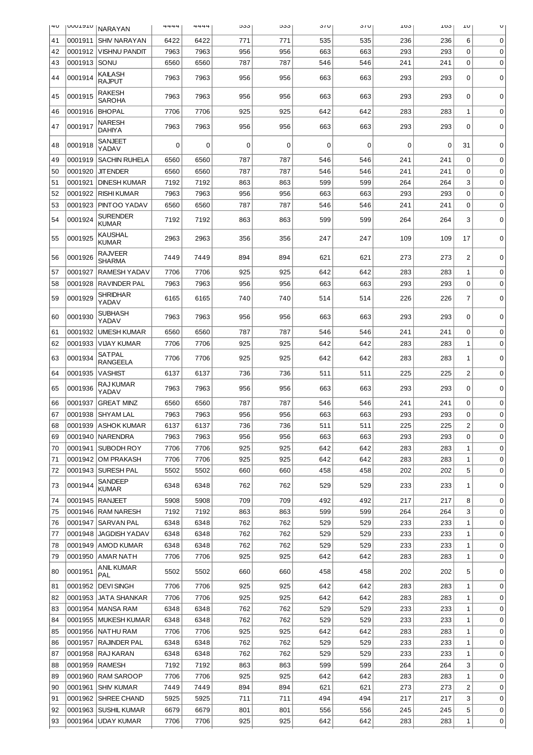| 4U | <b>UUUIATU</b> | <b>NARAYAN</b>                   | 4444 | 4444 | ნაა | ნაა | 31U      | 31 U | TO? | LOS | τn                      | U           |
|----|----------------|----------------------------------|------|------|-----|-----|----------|------|-----|-----|-------------------------|-------------|
| 41 | 0001911        | <b>SHIV NARAYAN</b>              | 6422 | 6422 | 771 | 771 | 535      | 535  | 236 | 236 | 6                       | 0           |
| 42 | 0001912        | VISHNU PANDIT                    | 7963 | 7963 | 956 | 956 | 663      | 663  | 293 | 293 | 0                       | $\mathbf 0$ |
| 43 | 0001913 SONU   |                                  | 6560 | 6560 | 787 | 787 | 546      | 546  | 241 | 241 | 0                       | $\mathbf 0$ |
| 44 | 0001914        | KAILASH<br><b>RAJPUT</b>         | 7963 | 7963 | 956 | 956 | 663      | 663  | 293 | 293 | 0                       | $\mathbf 0$ |
| 45 | 0001915        | RAKESH<br>SAROHA                 | 7963 | 7963 | 956 | 956 | 663      | 663  | 293 | 293 | 0                       | 0           |
| 46 | 0001916        | <b>BHOPAL</b>                    | 7706 | 7706 | 925 | 925 | 642      | 642  | 283 | 283 | 1                       | 0           |
| 47 | 0001917        | NARESH<br>DAHIYA                 | 7963 | 7963 | 956 | 956 | 663      | 663  | 293 | 293 | 0                       | $\Omega$    |
| 48 | 0001918        | SANJEET<br>YADAV                 | 0    | 0    | 0   | 0   | $\Omega$ | 0    | 0   | 0   | 31                      | 0           |
| 49 | 0001919        | <b>SACHIN RUHELA</b>             | 6560 | 6560 | 787 | 787 | 546      | 546  | 241 | 241 | $\mathbf 0$             | 0           |
| 50 | 0001920        | <b>JIT ENDER</b>                 | 6560 | 6560 | 787 | 787 | 546      | 546  | 241 | 241 | 0                       | 0           |
| 51 | 0001921        | <b>DINESH KUMAR</b>              | 7192 | 7192 | 863 | 863 | 599      | 599  | 264 | 264 | 3                       | 0           |
| 52 | 0001922        | <b>RISHI KUMAR</b>               | 7963 | 7963 | 956 | 956 | 663      | 663  | 293 | 293 | 0                       | 0           |
| 53 | 0001923        | PINTOO YADAV                     | 6560 | 6560 | 787 | 787 | 546      | 546  | 241 | 241 | 0                       | 0           |
| 54 | 0001924        | <b>SURENDER</b><br><b>KUMAR</b>  | 7192 | 7192 | 863 | 863 | 599      | 599  | 264 | 264 | 3                       | 0           |
| 55 | 0001925        | KAUSHAL<br>KUMAR                 | 2963 | 2963 | 356 | 356 | 247      | 247  | 109 | 109 | 17                      | 0           |
| 56 | 0001926        | <b>RAJVEER</b><br>SHARMA         | 7449 | 7449 | 894 | 894 | 621      | 621  | 273 | 273 | $\overline{c}$          | $\mathbf 0$ |
| 57 | 0001927        | <b>RAMESH YADAV</b>              | 7706 | 7706 | 925 | 925 | 642      | 642  | 283 | 283 | 1                       | $\mathbf 0$ |
| 58 | 0001928        | <b>RAVINDER PAL</b>              | 7963 | 7963 | 956 | 956 | 663      | 663  | 293 | 293 | 0                       | 0           |
| 59 | 0001929        | <b>SHRIDHAR</b><br>YADAV         | 6165 | 6165 | 740 | 740 | 514      | 514  | 226 | 226 | 7                       | $\mathbf 0$ |
| 60 | 0001930        | SUBHASH<br>YADAV                 | 7963 | 7963 | 956 | 956 | 663      | 663  | 293 | 293 | 0                       | 0           |
| 61 | 0001932        | <b>UMESH KUMAR</b>               | 6560 | 6560 | 787 | 787 | 546      | 546  | 241 | 241 | 0                       | 0           |
| 62 | 0001933        | <b>VIJAY KUMAR</b>               | 7706 | 7706 | 925 | 925 | 642      | 642  | 283 | 283 | $\mathbf 1$             | $\mathbf 0$ |
| 63 | 0001934        | <b>SATPAL</b><br><b>RANGEELA</b> | 7706 | 7706 | 925 | 925 | 642      | 642  | 283 | 283 | 1                       | $\mathbf 0$ |
| 64 | 0001935        | <b>VASHIST</b>                   | 6137 | 6137 | 736 | 736 | 511      | 511  | 225 | 225 | $\overline{\mathbf{c}}$ | 0           |
| 65 | 0001936        | RAJ KUMAR<br>YADAV               | 7963 | 7963 | 956 | 956 | 663      | 663  | 293 | 293 | 0                       | 0           |
| 66 | 0001937        | <b>GREAT MINZ</b>                | 6560 | 6560 | 787 | 787 | 546      | 546  | 241 | 241 | 0                       | 0           |
| 67 |                | 0001938   SHYAM LAL              | 7963 | 7963 | 956 | 956 | 663      | 663  | 293 | 293 | 0                       | 0           |
| 68 |                | 0001939 ASHOK KUMAR              | 6137 | 6137 | 736 | 736 | 511      | 511  | 225 | 225 | 2                       | $\Omega$    |
| 69 |                | 0001940   NARENDRA               | 7963 | 7963 | 956 | 956 | 663      | 663  | 293 | 293 | 0                       | 0           |
| 70 |                | 0001941   SUBODH ROY             | 7706 | 7706 | 925 | 925 | 642      | 642  | 283 | 283 | 1                       | 0           |
| 71 |                | 0001942   OM PRAKASH             | 7706 | 7706 | 925 | 925 | 642      | 642  | 283 | 283 | 1                       | 0           |
| 72 |                | 0001943   SURESH PAL             | 5502 | 5502 | 660 | 660 | 458      | 458  | 202 | 202 | 5                       | 0           |
| 73 | 0001944        | SANDEEP<br><b>KUMAR</b>          | 6348 | 6348 | 762 | 762 | 529      | 529  | 233 | 233 | 1                       | 0           |
| 74 |                | 0001945 RANJEET                  | 5908 | 5908 | 709 | 709 | 492      | 492  | 217 | 217 | 8                       | 0           |
| 75 |                | 0001946   RAM NARESH             | 7192 | 7192 | 863 | 863 | 599      | 599  | 264 | 264 | 3                       | $\mathbf 0$ |
| 76 |                | 0001947   SARVAN PAL             | 6348 | 6348 | 762 | 762 | 529      | 529  | 233 | 233 | 1                       | 0           |
| 77 |                | 0001948   JAGDISH YADAV          | 6348 | 6348 | 762 | 762 | 529      | 529  | 233 | 233 | 1                       | 0           |
| 78 |                | 0001949   AMOD KUMAR             | 6348 | 6348 | 762 | 762 | 529      | 529  | 233 | 233 | 1                       | 0           |
| 79 |                | 0001950   AMAR NATH              | 7706 | 7706 | 925 | 925 | 642      | 642  | 283 | 283 | 1                       | 0           |
| 80 | 0001951        | ANIL KUMAR<br>PAL                | 5502 | 5502 | 660 | 660 | 458      | 458  | 202 | 202 | 5                       | 0           |
| 81 |                | 0001952   DEVI SINGH             | 7706 | 7706 | 925 | 925 | 642      | 642  | 283 | 283 | 1                       | 0           |
| 82 |                | 0001953   JATA SHANKAR           | 7706 | 7706 | 925 | 925 | 642      | 642  | 283 | 283 | 1                       | $\mathbf 0$ |
| 83 |                | 0001954   MANSA RAM              | 6348 | 6348 | 762 | 762 | 529      | 529  | 233 | 233 | 1                       | 0           |
| 84 |                | 0001955   MUKESH KUMAR           | 6348 | 6348 | 762 | 762 | 529      | 529  | 233 | 233 | 1                       | 0           |
| 85 |                | 0001956   NATHU RAM              | 7706 | 7706 | 925 | 925 | 642      | 642  | 283 | 283 | $\mathbf 1$             | 0           |
| 86 |                | 0001957   RAJINDER PAL           | 6348 | 6348 | 762 | 762 | 529      | 529  | 233 | 233 | 1                       | 0           |
| 87 |                | 0001958   RAJ KARAN              | 6348 | 6348 | 762 | 762 | 529      | 529  | 233 | 233 | 1                       | 0           |
| 88 |                | 0001959   RAMESH                 | 7192 | 7192 | 863 | 863 | 599      | 599  | 264 | 264 | 3                       | 0           |
| 89 |                | 0001960   RAM SAROOP             | 7706 | 7706 | 925 | 925 | 642      | 642  | 283 | 283 | 1                       | 0           |
| 90 |                | 0001961 SHIV KUMAR               | 7449 | 7449 | 894 | 894 | 621      | 621  | 273 | 273 | $\overline{c}$          | 0           |
| 91 |                | 0001962   SHREE CHAND            | 5925 | 5925 | 711 | 711 | 494      | 494  | 217 | 217 | 3                       | 0           |
| 92 |                | 0001963   SUSHIL KUMAR           | 6679 | 6679 | 801 | 801 | 556      | 556  | 245 | 245 | 5                       | 0           |
| 93 |                | 0001964 UDAY KUMAR               | 7706 | 7706 | 925 | 925 | 642      | 642  | 283 | 283 | 1                       | 0           |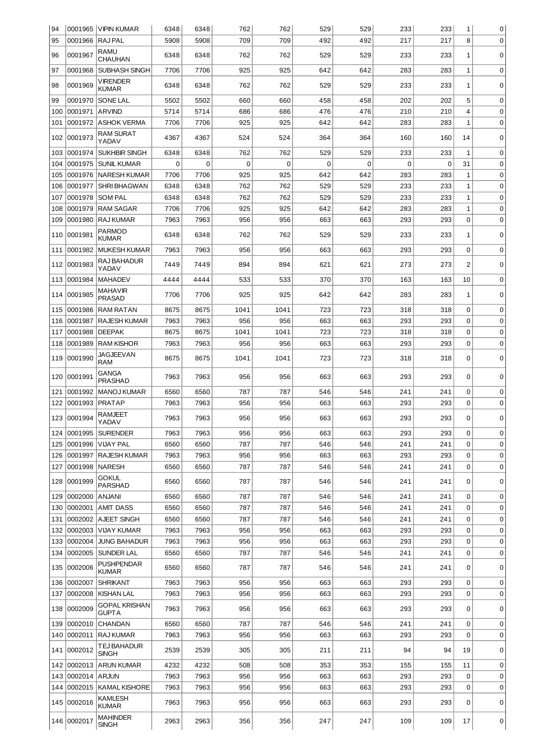| 94         |                    | 0001965   VIPIN KUMAR                  | 6348         | 6348         | 762         | 762        | 529        | 529        | 233        | 233        | 1            | 0           |
|------------|--------------------|----------------------------------------|--------------|--------------|-------------|------------|------------|------------|------------|------------|--------------|-------------|
| 95         | 0001966            | <b>RAJPAL</b>                          | 5908         | 5908         | 709         | 709        | 492        | 492        | 217        | 217        | 8            | $\mathbf 0$ |
| 96         | 0001967            | RAMU                                   | 6348         | 6348         | 762         | 762        | 529        | 529        | 233        | 233        | 1            | 0           |
| 97         | 0001968            | <b>CHAUHAN</b><br><b>SUBHASH SINGH</b> | 7706         | 7706         | 925         | 925        | 642        | 642        | 283        | 283        | $\mathbf{1}$ | 0           |
| 98         | 0001969            | <b>VIRENDER</b>                        | 6348         | 6348         | 762         | 762        | 529        | 529        | 233        | 233        |              | $\mathbf 0$ |
|            |                    | <b>KUMAR</b>                           |              |              |             |            |            |            |            |            | 1            |             |
| 99         | 0001970            | SONE LAL                               | 5502         | 5502         | 660         | 660        | 458        | 458        | 202        | 202        | 5            | 0           |
| 100        | 0001971            | <b>ARVIND</b>                          | 5714         | 5714         | 686         | 686        | 476        | 476        | 210        | 210        | 4            | 0           |
| 101        | 0001972            | <b>ASHOK VERMA</b>                     | 7706         | 7706         | 925         | 925        | 642        | 642        | 283        | 283        | $\mathbf 1$  | $\mathbf 0$ |
| 102        | 0001973            | <b>RAM SURAT</b><br>YADAV              | 4367         | 4367         | 524         | 524        | 364        | 364        | 160        | 160        | 14           | 0           |
| 103        | 0001974            | <b>SUKHBIR SINGH</b>                   | 6348         | 6348         | 762         | 762        | 529        | 529        | 233        | 233        | $\mathbf{1}$ | 0           |
| 104        | 0001975            | <b>SUNIL KUMAR</b>                     | 0            | 0            | $\mathbf 0$ | 0          | 0          | 0          | 0          | 0          | 31           | 0           |
| 105        | 0001976            | NARESH KUMAR                           | 7706         | 7706         | 925         | 925        | 642        | 642        | 283        | 283        | 1            | 0           |
| 106        | 0001977            | <b>SHRI BHAGWAN</b>                    | 6348         | 6348         | 762         | 762        | 529        | 529        | 233        | 233        | $\mathbf 1$  | 0           |
| 107        | 0001978            | <b>SOM PAL</b>                         | 6348         | 6348         | 762         | 762        | 529        | 529        | 233        | 233        | 1            | 0           |
| 108        | 0001979            | <b>RAM SAGAR</b>                       | 7706         | 7706         | 925         | 925        | 642        | 642        | 283        | 283        | $\mathbf 1$  | 0           |
| 109        | 0001980            | <b>RAJ KUMAR</b>                       | 7963         | 7963         | 956         | 956        | 663        | 663        | 293        | 293        | $\mathbf 0$  | 0           |
| 110        | 0001981            | <b>PARMOD</b><br><b>KUMAR</b>          | 6348         | 6348         | 762         | 762        | 529        | 529        | 233        | 233        | 1            | 0           |
| 111        | 0001982            | <b>MUKESH KUMAR</b>                    | 7963         | 7963         | 956         | 956        | 663        | 663        | 293        | 293        | $\mathbf 0$  | $\mathbf 0$ |
| 112        | 0001983            | RAJ BAHADUR<br>YADAV                   | 7449         | 7449         | 894         | 894        | 621        | 621        | 273        | 273        | 2            | 0           |
| 113        | 0001984            | <b>MAHADEV</b>                         | 4444         | 4444         | 533         | 533        | 370        | 370        | 163        | 163        | 10           | 0           |
| 114        | 0001985            | <b>MAHAVIR</b><br><b>PRASAD</b>        | 7706         | 7706         | 925         | 925        | 642        | 642        | 283        | 283        | 1            | $\mathbf 0$ |
| 115        | 0001986            | <b>RAM RATAN</b>                       | 8675         | 8675         | 1041        | 1041       | 723        | 723        | 318        | 318        | $\mathbf 0$  | 0           |
| 116        | 0001987            | <b>RAJESH KUMAR</b>                    | 7963         | 7963         | 956         | 956        | 663        | 663        | 293        | 293        | 0            | 0           |
| 117        | 0001988            | <b>DEEPAK</b>                          | 8675         | 8675         | 1041        | 1041       | 723        | 723        | 318        | 318        | $\mathbf 0$  | 0           |
| 118        | 0001989            | <b>RAM KISHOR</b>                      | 7963         | 7963         | 956         | 956        | 663        | 663        | 293        | 293        | $\mathbf 0$  | $\mathbf 0$ |
| 119        | 0001990            | <b>JAGJEEVAN</b>                       | 8675         | 8675         | 1041        | 1041       | 723        | 723        | 318        | 318        | 0            | 0           |
| 120        | 0001991            | <b>RAM</b><br><b>GANGA</b>             | 7963         | 7963         | 956         | 956        | 663        | 663        | 293        | 293        | 0            | 0           |
| 121        | 0001992            | <b>PRASHAD</b><br><b>MANOJ KUMAR</b>   | 6560         | 6560         | 787         | 787        | 546        | 546        | 241        | 241        | 0            | 0           |
| 122        | 0001993            | <b>PRATAP</b>                          | 7963         | 7963         | 956         | 956        | 663        | 663        | 293        | 293        | 0            | 0           |
| 123        | 0001994            | <b>RAMJEET</b>                         | 7963         | 7963         | 956         | 956        | 663        | 663        | 293        | 293        | 0            | $\mathbf 0$ |
| 124        |                    | YADAV<br>0001995 SURENDER              | 7963         | 7963         | 956         | 956        | 663        | 663        | 293        | 293        | 0            | 0           |
| 125        | 0001996            | VIJAY PAL                              | 6560         | 6560         | 787         | 787        | 546        | 546        | 241        | 241        | $\Omega$     | 0           |
| 126        | 0001997            | <b>RAJESH KUMAR</b>                    | 7963         | 7963         | 956         | 956        | 663        | 663        | 293        | 293        | 0            | 0           |
| 127        | 0001998            | <b>NARESH</b>                          | 6560         | 6560         | 787         | 787        | 546        | 546        | 241        | 241        | 0            | 0           |
| 128        | 0001999            | <b>GOKUL</b>                           | 6560         | 6560         | 787         | 787        | 546        | 546        | 241        | 241        | 0            | 0           |
| 129        | 0002000            | <b>PARSHAD</b><br><b>ANJANI</b>        | 6560         | 6560         | 787         | 787        | 546        | 546        | 241        | 241        | $\mathbf 0$  | 0           |
|            |                    |                                        |              |              | 787         |            |            |            |            |            | $\mathbf 0$  |             |
| 130        | 0002001<br>0002002 | <b>AMIT DASS</b><br><b>AJEET SINGH</b> | 6560         | 6560         | 787         | 787<br>787 | 546        | 546<br>546 | 241        | 241        | $\mathbf 0$  | 0           |
| 131        |                    |                                        | 6560         | 6560         |             |            | 546        |            | 241        | 241        |              | 0           |
| 132        | 0002003            | <b>VIJAY KUMAR</b>                     | 7963         | 7963         | 956         | 956        | 663        | 663        | 293        | 293        | $\mathbf 0$  | $\mathbf 0$ |
| 133        | 0002004            | <b>JUNG BAHADUR</b>                    | 7963         | 7963         | 956         | 956        | 663        | 663        | 293        | 293        | 0            | 0           |
| 134<br>135 | 0002005<br>0002006 | <b>SUNDER LAL</b><br><b>PUSHPENDAR</b> | 6560<br>6560 | 6560<br>6560 | 787<br>787  | 787<br>787 | 546<br>546 | 546<br>546 | 241<br>241 | 241<br>241 | 0<br>0       | 0<br>0      |
|            | 136 0002007        | <b>KUMAR</b><br><b>SHRIKANT</b>        | 7963         | 7963         | 956         | 956        | 663        | 663        | 293        | 293        | $\mathbf 0$  | 0           |
| 137        | 0002008            | KISHAN LAL                             | 7963         | 7963         | 956         | 956        | 663        | 663        | 293        | 293        | $\mathbf 0$  | 0           |
|            |                    |                                        |              |              |             |            |            |            |            |            |              |             |
| 138        | 0002009            | <b>GOPAL KRISHAN</b><br><b>GUPTA</b>   | 7963         | 7963         | 956         | 956        | 663        | 663        | 293        | 293        | 0            | 0           |
| 139        | 0002010            | <b>CHANDAN</b>                         | 6560         | 6560         | 787         | 787        | 546        | 546        | 241        | 241        | $\mathbf 0$  | 0           |
| 140        | 0002011            | <b>RAJ KUMAR</b>                       | 7963         | 7963         | 956         | 956        | 663        | 663        | 293        | 293        | $\mathbf 0$  | 0           |
| 141        | 0002012            | TEJ BAHADUR<br><b>SINGH</b>            | 2539         | 2539         | 305         | 305        | 211        | 211        | 94         | 94         | 19           | 0           |
| 142        | 0002013            | <b>ARUN KUMAR</b>                      | 4232         | 4232         | 508         | 508        | 353        | 353        | 155        | 155        | 11           | 0           |
| 143        | 0002014            | ARJUN                                  | 7963         | 7963         | 956         | 956        | 663        | 663        | 293        | 293        | 0            | 0           |
| 144        | 0002015            | <b>KAMAL KISHORE</b>                   | 7963         | 7963         | 956         | 956        | 663        | 663        | 293        | 293        | 0            | 0           |
|            | 145 0002016        | <b>KAMLESH</b><br><b>KUMAR</b>         | 7963         | 7963         | 956         | 956        | 663        | 663        | 293        | 293        | 0            | 0           |
|            | 146 0002017        | <b>MAHINDER</b><br><b>SINGH</b>        | 2963         | 2963         | 356         | 356        | 247        | 247        | 109        | 109        | 17           | 0           |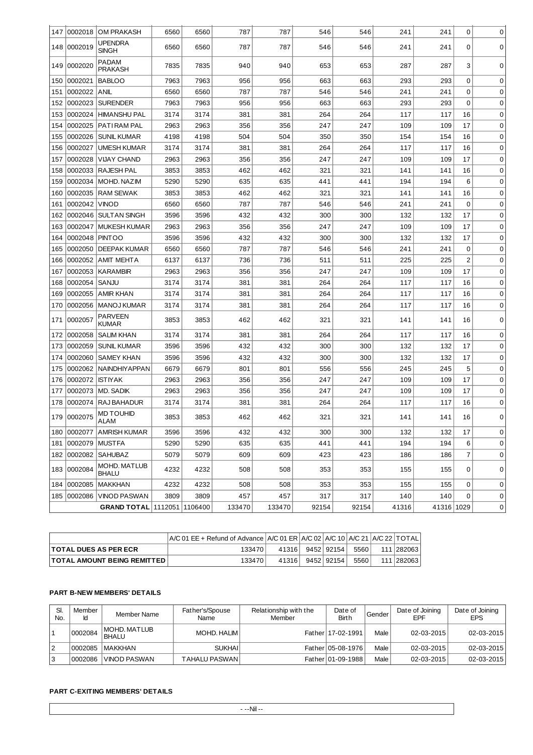| 147 | 0002018      | <b>OM PRAKASH</b>               | 6560 | 6560 | 787    | 787    | 546   | 546   | 241   | 241        | 0              | $\mathbf 0$ |
|-----|--------------|---------------------------------|------|------|--------|--------|-------|-------|-------|------------|----------------|-------------|
| 148 | 0002019      | <b>UPENDRA</b><br><b>SINGH</b>  | 6560 | 6560 | 787    | 787    | 546   | 546   | 241   | 241        | 0              | 0           |
| 149 | 0002020      | PADAM<br><b>PRAKASH</b>         | 7835 | 7835 | 940    | 940    | 653   | 653   | 287   | 287        | 3              | $\mathbf 0$ |
| 150 | 0002021      | <b>BABLOO</b>                   | 7963 | 7963 | 956    | 956    | 663   | 663   | 293   | 293        | 0              | 0           |
| 151 | 0002022      | <b>ANIL</b>                     | 6560 | 6560 | 787    | 787    | 546   | 546   | 241   | 241        | 0              | 0           |
| 152 | 0002023      | <b>SURENDER</b>                 | 7963 | 7963 | 956    | 956    | 663   | 663   | 293   | 293        | $\mathbf 0$    | 0           |
| 153 | 0002024      | <b>HIMANSHU PAL</b>             | 3174 | 3174 | 381    | 381    | 264   | 264   | 117   | 117        | 16             | 0           |
| 154 | 0002025      | PATIRAM PAL                     | 2963 | 2963 | 356    | 356    | 247   | 247   | 109   | 109        | 17             | 0           |
| 155 | 0002026      | <b>SUNIL KUMAR</b>              | 4198 | 4198 | 504    | 504    | 350   | 350   | 154   | 154        | 16             | 0           |
| 156 | 0002027      | <b>UMESH KUMAR</b>              | 3174 | 3174 | 381    | 381    | 264   | 264   | 117   | 117        | 16             | 0           |
| 157 | 0002028      | <b>VIJAY CHAND</b>              | 2963 | 2963 | 356    | 356    | 247   | 247   | 109   | 109        | 17             | 0           |
| 158 | 0002033      | <b>RAJESH PAL</b>               | 3853 | 3853 | 462    | 462    | 321   | 321   | 141   | 141        | 16             | 0           |
| 159 | 0002034      | MOHD. NAZIM                     | 5290 | 5290 | 635    | 635    | 441   | 441   | 194   | 194        | 6              | 0           |
| 160 | 0002035      | <b>RAM SEWAK</b>                | 3853 | 3853 | 462    | 462    | 321   | 321   | 141   | 141        | 16             | 0           |
| 161 | 0002042      | <b>VINOD</b>                    | 6560 | 6560 | 787    | 787    | 546   | 546   | 241   | 241        | $\mathbf 0$    | 0           |
| 162 | 0002046      | <b>SULTAN SINGH</b>             | 3596 | 3596 | 432    | 432    | 300   | 300   | 132   | 132        | 17             | 0           |
| 163 | 0002047      | <b>MUKESH KUMAR</b>             | 2963 | 2963 | 356    | 356    | 247   | 247   | 109   | 109        | 17             | 0           |
| 164 | 0002048      | <b>PINTOO</b>                   | 3596 | 3596 | 432    | 432    | 300   | 300   | 132   | 132        | 17             | 0           |
| 165 | 0002050      | <b>DEEPAK KUMAR</b>             | 6560 | 6560 | 787    | 787    | 546   | 546   | 241   | 241        | 0              | 0           |
| 166 | 0002052      | <b>AMIT MEHTA</b>               | 6137 | 6137 | 736    | 736    | 511   | 511   | 225   | 225        | $\overline{c}$ | $\mathbf 0$ |
| 167 | 0002053      | <b>KARAMBIR</b>                 | 2963 | 2963 | 356    | 356    | 247   | 247   | 109   | 109        | 17             | 0           |
| 168 | 0002054      | SANJU                           | 3174 | 3174 | 381    | 381    | 264   | 264   | 117   | 117        | 16             | 0           |
| 169 | 0002055      | <b>AMIR KHAN</b>                | 3174 | 3174 | 381    | 381    | 264   | 264   | 117   | 117        | 16             | 0           |
| 170 | 0002056      | <b>MANOJ KUMAR</b>              | 3174 | 3174 | 381    | 381    | 264   | 264   | 117   | 117        | 16             | $\mathbf 0$ |
| 171 | 0002057      | PARVEEN<br><b>KUMAR</b>         | 3853 | 3853 | 462    | 462    | 321   | 321   | 141   | 141        | 16             | $\mathbf 0$ |
| 172 | 0002058      | <b>SALIM KHAN</b>               | 3174 | 3174 | 381    | 381    | 264   | 264   | 117   | 117        | 16             | 0           |
| 173 | 0002059      | <b>SUNIL KUMAR</b>              | 3596 | 3596 | 432    | 432    | 300   | 300   | 132   | 132        | 17             | 0           |
| 174 | 0002060      | <b>SAMEY KHAN</b>               | 3596 | 3596 | 432    | 432    | 300   | 300   | 132   | 132        | 17             | 0           |
| 175 | 0002062      | NAINDHIYAPPAN                   | 6679 | 6679 | 801    | 801    | 556   | 556   | 245   | 245        | 5              | 0           |
| 176 | 0002072      | <b>ISTIYAK</b>                  | 2963 | 2963 | 356    | 356    | 247   | 247   | 109   | 109        | 17             | 0           |
| 177 | 0002073      | MD. SADIK                       | 2963 | 2963 | 356    | 356    | 247   | 247   | 109   | 109        | 17             | 0           |
| 178 | 0002074      | <b>RAJ BAHADUR</b>              | 3174 | 3174 | 381    | 381    | 264   | 264   | 117   | 117        | 16             | 0           |
| 179 | 0002075      | <b>MD TOUHID</b><br><b>ALAM</b> | 3853 | 3853 | 462    | 462    | 321   | 321   | 141   | 141        | 16             | 0           |
|     |              | 180 0002077 AMRISH KUMAR        | 3596 | 3596 | 432    | 432    | 300   | 300   | 132   | 132        | 17             | 0           |
|     | 181  0002079 | MUSTFA                          | 5290 | 5290 | 635    | 635    | 441   | 441   | 194   | 194        | 6              | $\mathbf 0$ |
|     |              | 182 0002082 SAHUBAZ             | 5079 | 5079 | 609    | 609    | 423   | 423   | 186   | 186        | $\overline{7}$ | 0           |
|     | 183 0002084  | MOHD. MATLUB<br><b>BHALU</b>    | 4232 | 4232 | 508    | 508    | 353   | 353   | 155   | 155        | 0              | 0           |
| 184 | 0002085      | <b>MAKKHAN</b>                  | 4232 | 4232 | 508    | 508    | 353   | 353   | 155   | 155        | 0              | 0           |
| 185 | 0002086      | <b>VINOD PASWAN</b>             | 3809 | 3809 | 457    | 457    | 317   | 317   | 140   | 140        | 0              | 0           |
|     |              | GRAND TOTAL 1112051 1106400     |      |      | 133470 | 133470 | 92154 | 92154 | 41316 | 41316 1029 |                | 0           |

|                                    | A/C 01 EE + Refund of Advance   A/C 01 ER   A/C 02   A/C 10   A/C 21   A/C 22   TOTAL |       |              |      |              |
|------------------------------------|---------------------------------------------------------------------------------------|-------|--------------|------|--------------|
| <b>TOTAL DUES AS PER ECR</b>       | 133470                                                                                | 41316 | 9452   92154 | 5560 | 111   282063 |
| <b>TOTAL AMOUNT BEING REMITTED</b> | 133470                                                                                | 41316 | 9452   92154 | 5560 | 111 282063   |

## **PART B-NEW MEMBERS' DETAILS**

| SI.<br>No. | Member  | Member Name                   | Father's/Spouse<br>Name | Relationship with the<br>Member | Date of<br><b>Birth</b> | Gender | Date of Joining<br>EPF | Date of Joining<br><b>EPS</b> |
|------------|---------|-------------------------------|-------------------------|---------------------------------|-------------------------|--------|------------------------|-------------------------------|
|            | 0002084 | IMOHD, MATLUB<br><b>BHALU</b> | MOHD, HALIM             |                                 | Father   17-02-1991     | Male   | 02-03-2015             | $02 - 03 - 2015$              |
| 2          | 0002085 | <b>IMAKKHAN</b>               | <b>SUKHAI</b>           |                                 | Father   05-08-1976     | Male   | 02-03-2015             | $02 - 03 - 2015$              |
| 3          | 0002086 | IVINOD PASWAN                 | TAHALU PASWAN l         |                                 | Father 01-09-1988       | Male   | $02 - 03 - 2015$       | $02 - 03 - 2015$              |

## **PART C-EXITING MEMBERS' DETAILS**